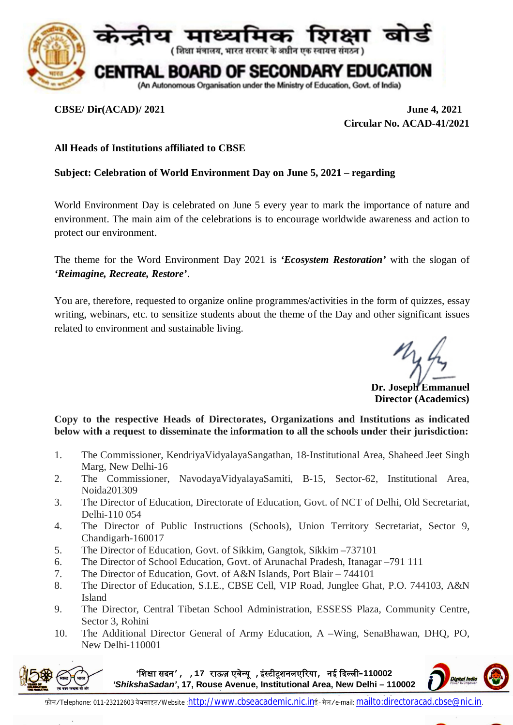

**CBSE/ Dir(ACAD)/ 2021 June 4, 2021 Circular No. ACAD-41/2021**

## **All Heads of Institutions affiliated to CBSE**

## **Subject: Celebration of World Environment Day on June 5, 2021 – regarding**

World Environment Day is celebrated on June 5 every year to mark the importance of nature and environment. The main aim of the celebrations is to encourage worldwide awareness and action to protect our environment.

The theme for the Word Environment Day 2021 is *'Ecosystem Restoration'* with the slogan of *'Reimagine, Recreate, Restore'*.

You are, therefore, requested to organize online programmes/activities in the form of quizzes, essay writing, webinars, etc. to sensitize students about the theme of the Day and other significant issues related to environment and sustainable living.

**Dr. Joseph Emmanuel Director (Academics)**

**Copy to the respective Heads of Directorates, Organizations and Institutions as indicated below with a request to disseminate the information to all the schools under their jurisdiction:**

- 1. The Commissioner, KendriyaVidyalayaSangathan, 18-Institutional Area, Shaheed Jeet Singh Marg, New Delhi-16
- 2. The Commissioner, NavodayaVidyalayaSamiti, B-15, Sector-62, Institutional Area, Noida201309
- 3. The Director of Education, Directorate of Education, Govt. of NCT of Delhi, Old Secretariat, Delhi-110 054
- 4. The Director of Public Instructions (Schools), Union Territory Secretariat, Sector 9, Chandigarh-160017
- 5. The Director of Education, Govt. of Sikkim, Gangtok, Sikkim –737101
- 6. The Director of School Education, Govt. of Arunachal Pradesh, Itanagar –791 111
- 7. The Director of Education, Govt. of A&N Islands, Port Blair 744101
- 8. The Director of Education, S.I.E., CBSE Cell, VIP Road, Junglee Ghat, P.O. 744103, A&N Island
- 9. The Director, Central Tibetan School Administration, ESSESS Plaza, Community Centre, Sector 3, Rohini
- 10. The Additional Director General of Army Education, A –Wing, SenaBhawan, DHQ, PO, New Delhi-110001



**'िशᭃा सदन', ,17 राऊज़ एवे᭠यू ,इं᭭टीटूशनलएᳯरया, नई ᳰद᭨ली–110002**  *'ShikshaSadan'***, 17, Rouse Avenue, Institutional Area, New Delhi – 110002**